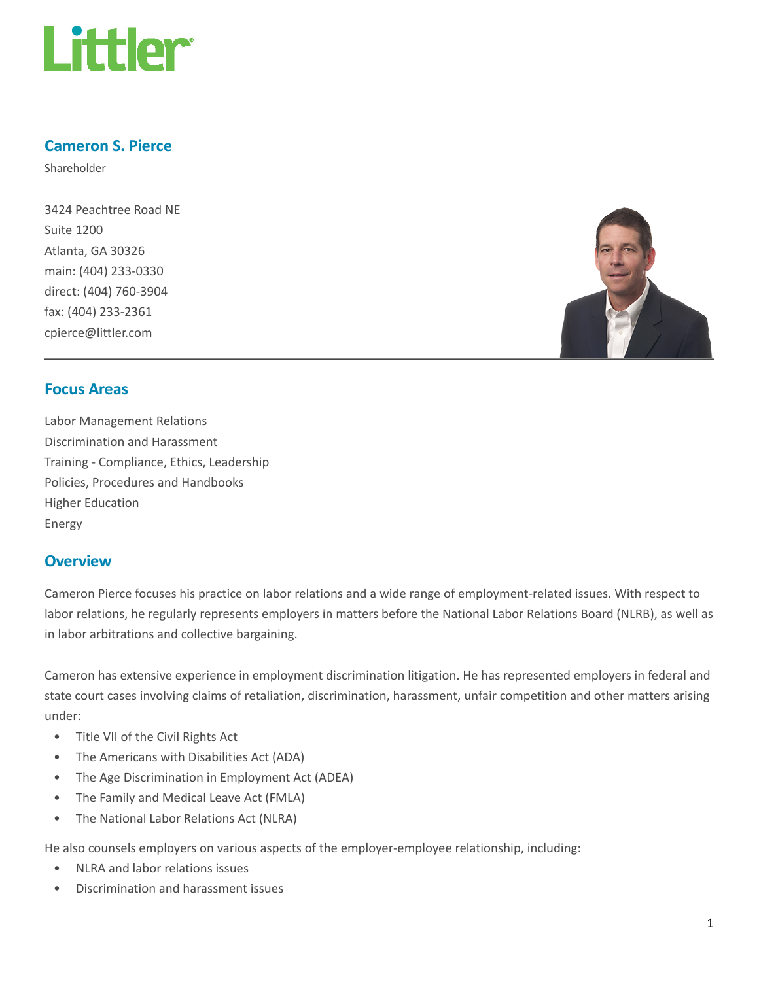

## Cameron S. Pierce

Shareholder

3424 Peachtree Road NE Suite 1200 Atlanta, GA 30326 main: (404) 233-0330 direct: (404) 760-3904 fax: (404) 233-2361 cpierce@littler.com



## Focus Areas

Labor Management Relations Discrimination and Harassment Training - Compliance, Ethics, Leadership Policies, Procedures and Handbooks Higher Education Energy

## **Overview**

Cameron Pierce focuses his practice on labor relations and a wide range of employment-related issues. With respect to labor relations, he regularly represents employers in matters before the National Labor Relations Board (NLRB), as well as in labor arbitrations and collective bargaining.

Cameron has extensive experience in employment discrimination litigation. He has represented employers in federal and state court cases involving claims of retaliation, discrimination, harassment, unfair competition and other matters arising under:

- Title VII of the Civil Rights Act
- The Americans with Disabilities Act (ADA)
- The Age Discrimination in Employment Act (ADEA)
- The Family and Medical Leave Act (FMLA)
- The National Labor Relations Act (NLRA)

He also counsels employers on various aspects of the employer-employee relationship, including:

- NLRA and labor relations issues
- Discrimination and harassment issues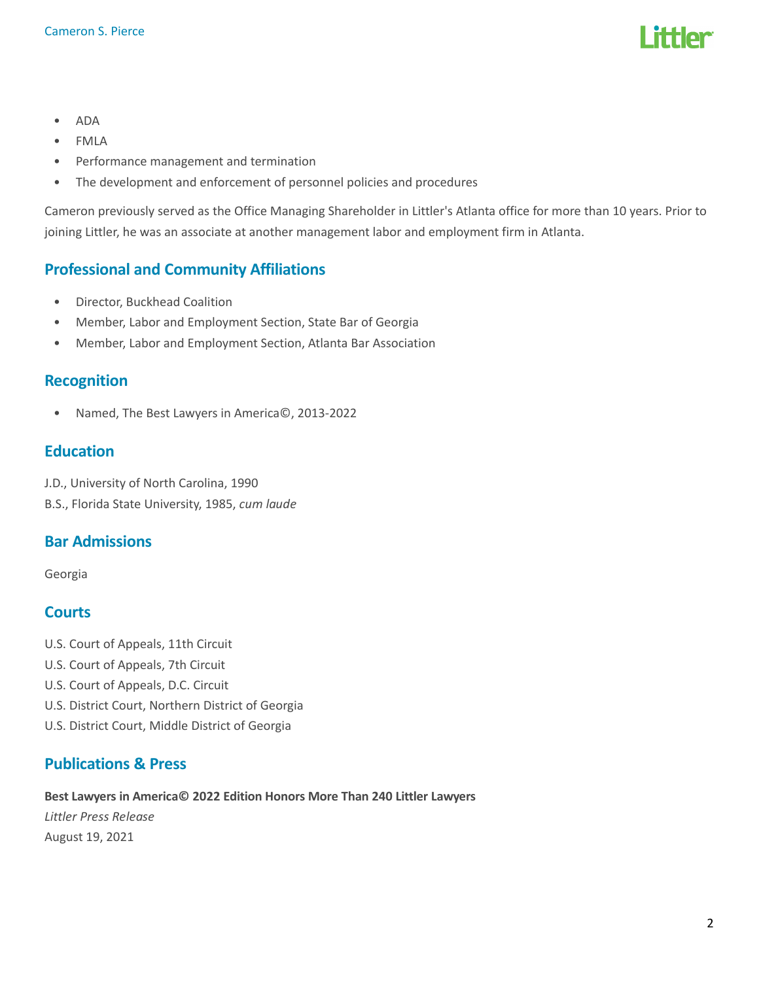

- ADA
- FMLA
- Performance management and termination
- The development and enforcement of personnel policies and procedures

Cameron previously served as the Office Managing Shareholder in Littler's Atlanta office for more than 10 years. Prior to joining Littler, he was an associate at another management labor and employment firm in Atlanta.

# Professional and Community Affiliations

- Director, Buckhead Coalition
- Member, Labor and Employment Section, State Bar of Georgia
- Member, Labor and Employment Section, Atlanta Bar Association

## Recognition

• Named, The Best Lawyers in America©, 2013-2022

## Education

J.D., University of North Carolina, 1990 B.S., Florida State University, 1985, cum laude

## Bar Admissions

Georgia

# **Courts**

- U.S. Court of Appeals, 11th Circuit
- U.S. Court of Appeals, 7th Circuit
- U.S. Court of Appeals, D.C. Circuit
- U.S. District Court, Northern District of Georgia
- U.S. District Court, Middle District of Georgia

# Publications & Press

Best Lawyers in America© 2022 Edition Honors More Than 240 Littler Lawyers

Littler Press Release August 19, 2021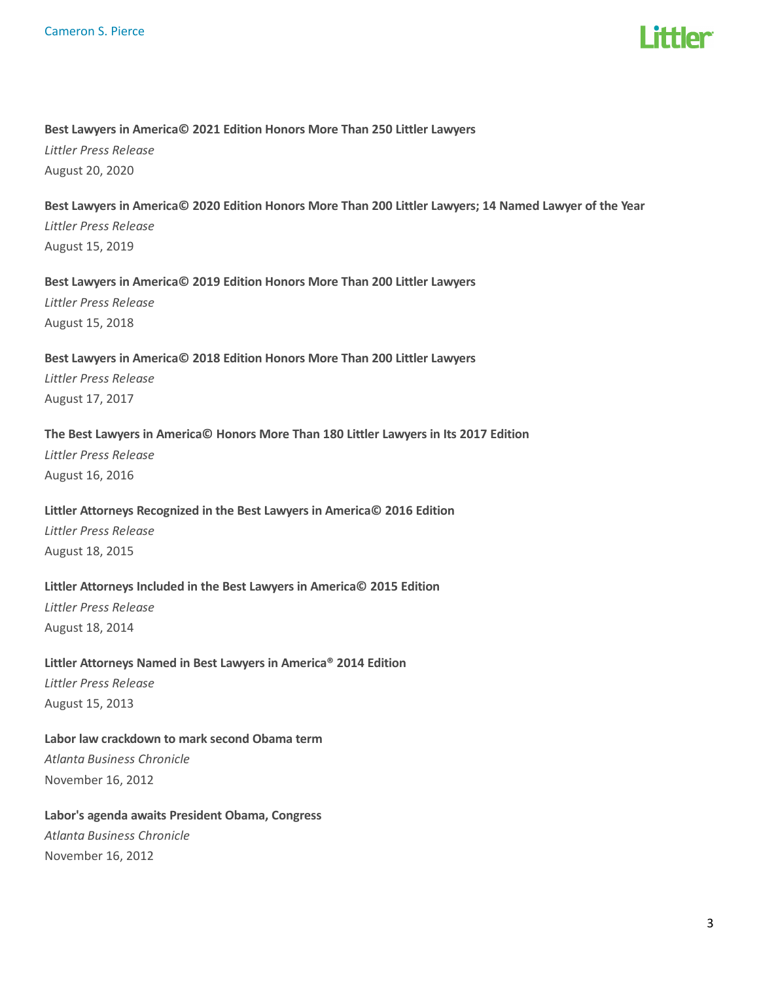

#### Best Lawyers in America© 2021 Edition Honors More Than 250 Littler Lawyers

Littler Press Release August 20, 2020

## Best Lawyers in America© 2020 Edition Honors More Than 200 Littler Lawyers; 14 Named Lawyer of the Year Littler Press Release August 15, 2019

#### Best Lawyers in America© 2019 Edition Honors More Than 200 Littler Lawyers

Littler Press Release August 15, 2018

## Best Lawyers in America© 2018 Edition Honors More Than 200 Littler Lawyers Littler Press Release August 17, 2017

### The Best Lawyers in America© Honors More Than 180 Littler Lawyers in Its 2017 Edition

Littler Press Release August 16, 2016

#### Littler Attorneys Recognized in the Best Lawyers in America© 2016 Edition

Littler Press Release August 18, 2015

#### Littler Attorneys Included in the Best Lawyers in America© 2015 Edition

Littler Press Release August 18, 2014

#### Littler Attorneys Named in Best Lawyers in America® 2014 Edition

Littler Press Release August 15, 2013

### Labor law crackdown to mark second Obama term

Atlanta Business Chronicle November 16, 2012

### Labor's agenda awaits President Obama, Congress

Atlanta Business Chronicle November 16, 2012